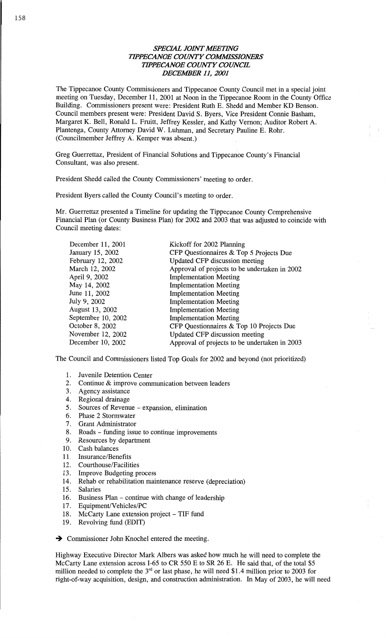## *SPECML JOINT AIEETDVG WIPPECANOE COUNTY COMMISSIONERS WPECANOE COMVTY COWCE DECEMBER* 11, *2001*

The **Tippecanoe** County **Conmlissioners** and **Tippecanoe** County **Council** met in **a** special **joint**  meeting on Tuesday, December 11, 2001 at Noon in the Tippecanoe Room in the County Office Building. Commissioners present were: President Ruth B. **Shedd** and Member KD **Benson.**  Council members present were: President **David** S. Byers, Vice President Connie Basham, Margaret K. Bell, Ronald L. Fruitt, Jeffrey Kessler, and Kathy Vernon; Auditor Robert A. Plantenga, County Attorney **David** W. **Luhman,** and Secretary **Pauline** E. Rohr. (Councilmember Jeffrey A. Kemper was **absent.)** 

Greg Guerrettaz, President of Financial Solutions and Tippecanoe County's Financial **Consultant,** was **also** present.

President **Shedd** called the County **Commissioners'** meeting to order.

President Byers called the County Council's meeting to order.

Mr. Guerrettaz presented **a** Timeline for updating the **Tippecanoe** County **Comprehensive Financial Plan** (or County **Business** Plan) for 2002 and 2003 **that** was adjusted to coincide with Council **meeting** dates:

| December 11, 2001  | Kickoff for 2002 Planning                     |
|--------------------|-----------------------------------------------|
| January 15, 2002   | CFP Questionnaires & Top 5 Projects Due       |
| February 12, 2002  | Updated CFP discussion meeting                |
| March 12, 2002     | Approval of projects to be undertaken in 2002 |
| April 9, 2002      | <b>Implementation Meeting</b>                 |
| May 14, 2002       | <b>Implementation Meeting</b>                 |
| June 11, 2002      | <b>Implementation Meeting</b>                 |
| July 9, 2002       | <b>Implementation Meeting</b>                 |
| August 13, 2002    | <b>Implementation Meeting</b>                 |
| September 10, 2002 | <b>Implementation Meeting</b>                 |
| October 8, 2002    | CFP Questionnaires & Top 10 Projects Due      |
| November 12, 2002  | Updated CFP discussion meeting                |
| December 10, 2002  | Approval of projects to be undertaken in 2003 |

The Council and Commissioners **listed** Top Goals for 2002 and beyond (not **prioritized)** 

- 1. Juvenile Detention Center 1. 2. 3. 4. 5. 6. 7. 8. 0.
- Continue & improve **communication** between leaders
- Agency assistance
- 4. Regional drainage
- Sources of Revenue **expansion, elimination**
- Phase **2** Stormwater
- 7. Grant Administrator
- Roads fimding issue to continue **improvements**
- Resources by **department**
- 10. Cash balances
- **1 1** *.* Insurance/ **Benefits**
- 12. Courthouse/Facilities
- 13. Improve Budgeting process
- 14. Rehab or rehabilitation maintenance reserve (depreciation)
- 15. Salaries
- 16. Business Plan continue with change of **leadership**
- 17. **Equipment/Vehicles/PC**
- 18. McCarty Lane **extension** project TIF **fund**
- 19. Revolving fund (EDIT)

 $\rightarrow$  Commissioner John Knochel entered the meeting.

Highway Executive Director Mark Albers was asked how much he will need to complete the McCarty Lane extension across I-65 to CR 550 E to SR 26 E. He said **that,** of the total \$5 million needed to complete the 3<sup>rd</sup> or last phase, he will need \$1.4 million prior to 2003 for right-of-way acquisition, design, and construction administration. In May of 2003, he will need